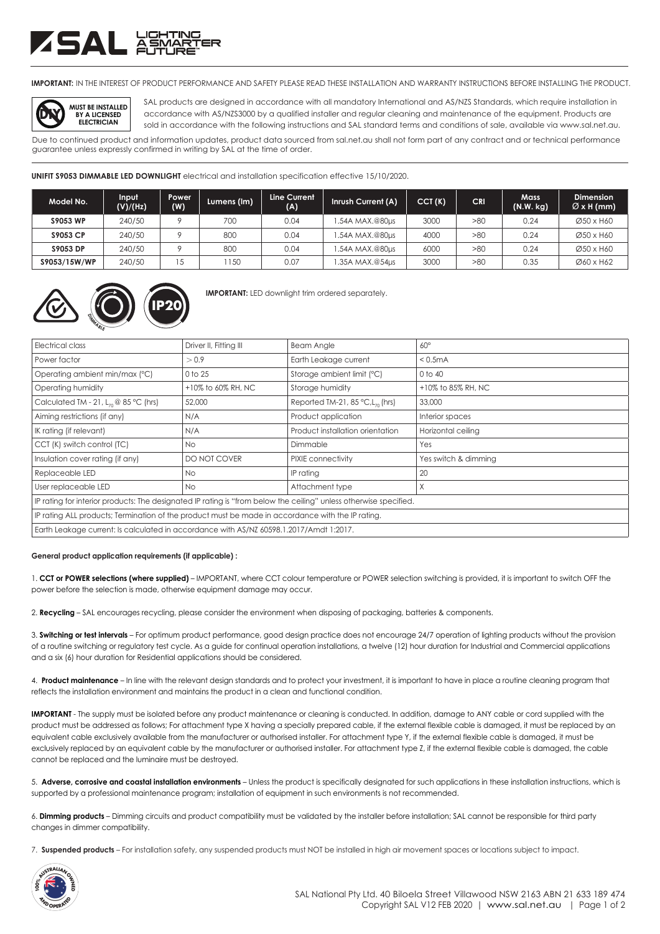## ZSAL ä<del>ä</del>

**IMPORTANT:** IN THE INTEREST OF PRODUCT PERFORMANCE AND SAFETY PLEASE READ THESE INSTALLATION AND WARRANTY INSTRUCTIONS BEFORE INSTALLING THE PRODUCT.



SAL products are designed in accordance with all mandatory International and AS/NZS Standards, which require installation in accordance with AS/NZS3000 by a qualified installer and regular cleaning and maintenance of the equipment. Products are sold in accordance with the following instructions and SAL standard terms and conditions of sale, available via www.sal.net.au.

Due to continued product and information updates, product data sourced from sal.net.au shall not form part of any contract and or technical performance guarantee unless expressly confirmed in writing by SAL at the time of order.

**UNIFIT S9053 DIMMABLE LED DOWNLIGHT** electrical and installation specification effective 15/10/2020.

| Model No.       | Input<br>(V)/(Hz) | <b>Power</b><br>(W) | Lumens (Im) | Line Current<br>(A) | Inrush Current (A) | CCT(K) | <b>CRI</b> | <b>Mass</b><br>(N.W. kg) | <b>Dimension</b><br>$\varnothing$ x H (mm) |
|-----------------|-------------------|---------------------|-------------|---------------------|--------------------|--------|------------|--------------------------|--------------------------------------------|
| <b>S9053 WP</b> | 240/50            |                     | 700         | 0.04                | .54A MAX.@80µs     | 3000   | >80        | 0.24                     | Ø50 x H60                                  |
| <b>S9053 CP</b> | 240/50            |                     | 800         | 0.04                | .54A MAX.@80us     | 4000   | >80        | 0.24                     | Ø50 x H60                                  |
| S9053 DP        | 240/50            |                     | 800         | 0.04                | .54A MAX.@80µs     | 6000   | >80        | 0.24                     | Ø50 x H60                                  |
| \$9053/15W/WP   | 240/50            |                     | 150         | 0.07                | .35A MAX.@54us     | 3000   | >80        | 0.35                     | Ø60 x H62                                  |



**IMPORTANT:** LED downlight trim ordered separately.

| Electrical class                                                                                                  | Driver II, Fitting III | <b>Beam Angle</b>                               | $60^\circ$           |  |  |  |
|-------------------------------------------------------------------------------------------------------------------|------------------------|-------------------------------------------------|----------------------|--|--|--|
| Power factor                                                                                                      | > 0.9                  | Earth Leakage current                           | < 0.5mA              |  |  |  |
| Operating ambient min/max (°C)                                                                                    | 0 to 25                | Storage ambient limit (°C)                      | 0 to 40              |  |  |  |
| Operating humidity                                                                                                | +10% to 60% RH, NC     | Storage humidity                                | +10% to 85% RH, NC   |  |  |  |
| Calculated TM - 21, $L_{70}$ @ 85 °C (hrs)                                                                        | 52,000                 | Reported TM-21, 85 $°C$ , L <sub>70</sub> (hrs) | 33,000               |  |  |  |
| Aiming restrictions (if any)                                                                                      | N/A                    | Product application                             | Interior spaces      |  |  |  |
| IK rating (if relevant)                                                                                           | N/A                    | Product installation orientation                | Horizontal ceiling   |  |  |  |
| CCT (K) switch control (TC)                                                                                       | No.                    | Dimmable                                        | Yes                  |  |  |  |
| Insulation cover rating (if any)                                                                                  | DO NOT COVER           | PIXIE connectivity                              | Yes switch & dimming |  |  |  |
| Replaceable LED                                                                                                   | No.                    | IP rating                                       | 20                   |  |  |  |
| User replaceable LED                                                                                              | No.                    | Attachment type                                 | Χ                    |  |  |  |
| IP rating for interior products: The designated IP rating is "from below the ceiling" unless otherwise specified. |                        |                                                 |                      |  |  |  |
| IP rating ALL products; Termination of the product must be made in accordance with the IP rating.                 |                        |                                                 |                      |  |  |  |
| Earth Leakage current: Is calculated in accordance with AS/NZ 60598.1.2017/Amdt 1:2017.                           |                        |                                                 |                      |  |  |  |

## **General product application requirements (if applicable) :**

1. **CCT or POWER selections (where supplied)** – IMPORTANT, where CCT colour temperature or POWER selection switching is provided, it is important to switch OFF the power before the selection is made, otherwise equipment damage may occur.

2. **Recycling** – SAL encourages recycling, please consider the environment when disposing of packaging, batteries & components.

3. **Switching or test intervals** – For optimum product performance, good design practice does not encourage 24/7 operation of lighting products without the provision of a routine switching or regulatory test cycle. As a guide for continual operation installations, a twelve (12) hour duration for Industrial and Commercial applications and a six (6) hour duration for Residential applications should be considered.

4. **Product maintenance** – In line with the relevant design standards and to protect your investment, it is important to have in place a routine cleaning program that reflects the installation environment and maintains the product in a clean and functional condition.

**IMPORTANT** - The supply must be isolated before any product maintenance or cleaning is conducted. In addition, damage to ANY cable or cord supplied with the product must be addressed as follows; For attachment type X having a specially prepared cable, if the external flexible cable is damaged, it must be replaced by an equivalent cable exclusively available from the manufacturer or authorised installer. For attachment type Y, if the external flexible cable is damaged, it must be exclusively replaced by an equivalent cable by the manufacturer or authorised installer. For attachment type Z, if the external flexible cable is damaged, the cable cannot be replaced and the luminaire must be destroyed.

5. **Adverse, corrosive and coastal installation environments** – Unless the product is specifically designated for such applications in these installation instructions, which is supported by a professional maintenance program; installation of equipment in such environments is not recommended.

6. **Dimming products** – Dimming circuits and product compatibility must be validated by the installer before installation; SAL cannot be responsible for third party changes in dimmer compatibility.

7. **Suspended products** – For installation safety, any suspended products must NOT be installed in high air movement spaces or locations subject to impact.